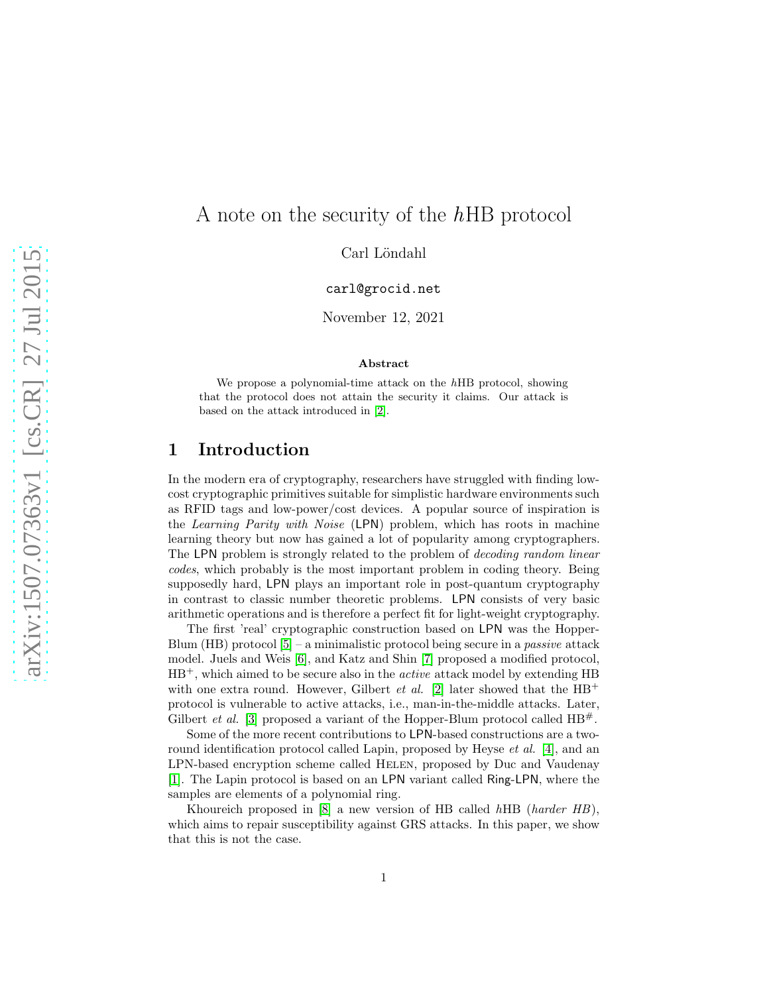# A note on the security of the  $hHB$  protocol

Carl Löndahl

carl@grocid.net

November 12, 2021

#### Abstract

We propose a polynomial-time attack on the hHB protocol, showing that the protocol does not attain the security it claims. Our attack is based on the attack introduced in [\[2\]](#page-4-0).

### 1 Introduction

In the modern era of cryptography, researchers have struggled with finding lowcost cryptographic primitives suitable for simplistic hardware environments such as RFID tags and low-power/cost devices. A popular source of inspiration is the Learning Parity with Noise (LPN) problem, which has roots in machine learning theory but now has gained a lot of popularity among cryptographers. The LPN problem is strongly related to the problem of decoding random linear codes, which probably is the most important problem in coding theory. Being supposedly hard, LPN plays an important role in post-quantum cryptography in contrast to classic number theoretic problems. LPN consists of very basic arithmetic operations and is therefore a perfect fit for light-weight cryptography.

The first 'real' cryptographic construction based on LPN was the Hopper-Blum (HB) protocol  $[5]$  – a minimalistic protocol being secure in a *passive* attack model. Juels and Weis [\[6\]](#page-4-2), and Katz and Shin [\[7\]](#page-4-3) proposed a modified protocol,  $HB^+$ , which aimed to be secure also in the *active* attack model by extending  $HB$ with one extra round. However, Gilbert *et al.* [\[2\]](#page-4-0) later showed that the  $HB^+$ protocol is vulnerable to active attacks, i.e., man-in-the-middle attacks. Later, Gilbert *et al.* [\[3\]](#page-4-4) proposed a variant of the Hopper-Blum protocol called  $HB^{\#}$ .

Some of the more recent contributions to LPN-based constructions are a tworound identification protocol called Lapin, proposed by Heyse *et al.* [\[4\]](#page-4-5), and an LPN-based encryption scheme called HELEN, proposed by Duc and Vaudenay [\[1\]](#page-3-0). The Lapin protocol is based on an LPN variant called Ring-LPN, where the samples are elements of a polynomial ring.

Khoureich proposed in [\[8\]](#page-4-6) a new version of HB called hHB (harder HB), which aims to repair susceptibility against GRS attacks. In this paper, we show that this is not the case.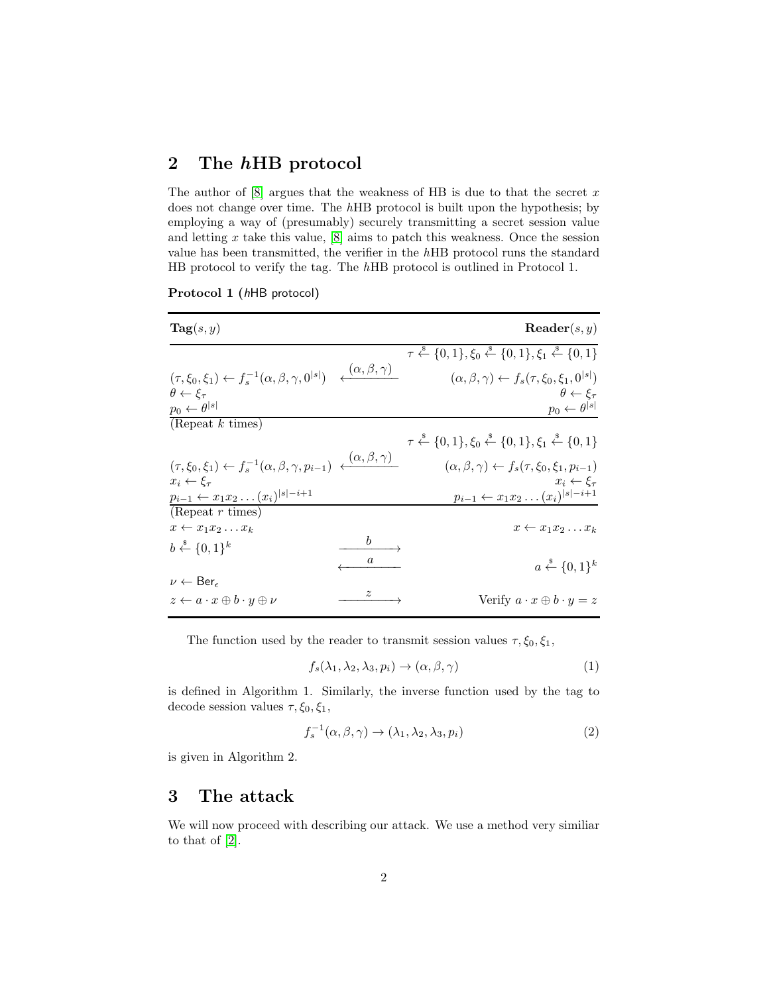### 2 The hHB protocol

The author of  $[8]$  argues that the weakness of HB is due to that the secret x does not change over time. The hHB protocol is built upon the hypothesis; by employing a way of (presumably) securely transmitting a secret session value and letting  $x$  take this value,  $[8]$  aims to patch this weakness. Once the session value has been transmitted, the verifier in the hHB protocol runs the standard HB protocol to verify the tag. The hHB protocol is outlined in Protocol 1.

| Protocol 1 (hHB protocol) |
|---------------------------|
|---------------------------|

| $\textbf{Tag}(s, y)$                                                                                                                                                                   |             | $\mathbf{Reader}(s, y)$                                                                                                    |
|----------------------------------------------------------------------------------------------------------------------------------------------------------------------------------------|-------------|----------------------------------------------------------------------------------------------------------------------------|
|                                                                                                                                                                                        |             | $\tau \stackrel{\$}{\leftarrow} \{0,1\}, \xi_0 \stackrel{\$}{\leftarrow} \{0,1\}, \xi_1 \stackrel{\$}{\leftarrow} \{0,1\}$ |
| $\big( \tau, \xi_0, \xi_1 \big) \leftarrow f_s^{-1} \big( \alpha, \beta, \gamma, 0^{ s } \big) \quad \overbrace{ \big( \alpha, \beta, \gamma \big)}$<br>$\theta \leftarrow \xi_{\tau}$ |             | $(\alpha, \beta, \gamma) \leftarrow f_s(\tau, \xi_0, \xi_1, 0^{ s })$<br>$\theta \leftarrow \varepsilon_{\tau}$            |
| $p_0 \leftarrow \theta^{ s }$                                                                                                                                                          |             | $p_0 \leftarrow \theta^{ s }$                                                                                              |
| (Repeat $k$ times)                                                                                                                                                                     |             |                                                                                                                            |
|                                                                                                                                                                                        |             | $\tau \stackrel{\$}{\leftarrow} \{0,1\}, \xi_0 \stackrel{\$}{\leftarrow} \{0,1\}, \xi_1 \stackrel{\$}{\leftarrow} \{0,1\}$ |
| $(\tau, \xi_0, \xi_1) \leftarrow f_s^{-1}(\alpha, \beta, \gamma, p_{i-1}) \leftarrow (\alpha, \beta, \gamma)$                                                                          |             | $(\alpha, \beta, \gamma) \leftarrow f_s(\tau, \xi_0, \xi_1, p_{i-1})$                                                      |
| $x_i \leftarrow \xi_\tau$<br>$p_{i-1} \leftarrow x_1 x_2 \dots (x_i)^{ s -i+1}$                                                                                                        |             | $x_i \leftarrow \varepsilon_{\tau}$<br>$p_{i-1} \leftarrow x_1 x_2 \dots (x_i)^{ s -i+1}$                                  |
| (Repeat $r$ times)                                                                                                                                                                     |             |                                                                                                                            |
| $x \leftarrow x_1 x_2 \dots x_k$                                                                                                                                                       |             | $x \leftarrow x_1 x_2 \dots x_k$                                                                                           |
| $b \stackrel{\$}{\leftarrow} \{0,1\}^k$                                                                                                                                                |             |                                                                                                                            |
|                                                                                                                                                                                        |             | $a \xleftarrow{\$} \{0,1\}^k$                                                                                              |
| $\nu \leftarrow \mathsf{Ber}_{\epsilon}$                                                                                                                                               |             |                                                                                                                            |
| $z \leftarrow a \cdot x \oplus b \cdot y \oplus \nu$                                                                                                                                   | $\tilde{z}$ | Verify $a \cdot x \oplus b \cdot y = z$                                                                                    |

The function used by the reader to transmit session values  $\tau, \xi_0, \xi_1$ ,

$$
f_s(\lambda_1, \lambda_2, \lambda_3, p_i) \to (\alpha, \beta, \gamma)
$$
 (1)

is defined in Algorithm 1. Similarly, the inverse function used by the tag to decode session values  $\tau, \xi_0, \xi_1$ ,

$$
f_s^{-1}(\alpha, \beta, \gamma) \to (\lambda_1, \lambda_2, \lambda_3, p_i)
$$
 (2)

is given in Algorithm 2.

## 3 The attack

We will now proceed with describing our attack. We use a method very similiar to that of [\[2\]](#page-4-0).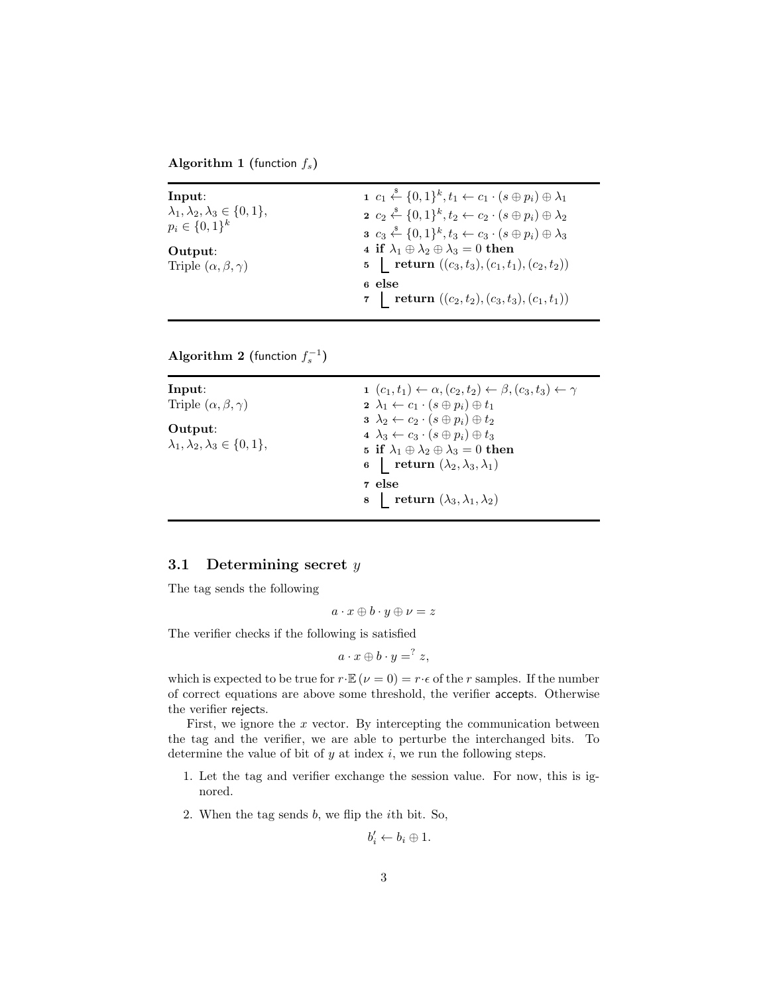Algorithm 1 (function  $f_s$ )

| Input:                                                                  | $1\ c_1 \stackrel{\$}{\leftarrow} \{0,1\}^k, t_1 \leftarrow c_1 \cdot (s \oplus p_i) \oplus \lambda_1$                                           |
|-------------------------------------------------------------------------|--------------------------------------------------------------------------------------------------------------------------------------------------|
| $\lambda_1, \lambda_2, \lambda_3 \in \{0, 1\},\$<br>$p_i \in \{0,1\}^k$ | $2\ c_2 \stackrel{\$}{\leftarrow} \{0,1\}^k, t_2 \leftarrow c_2 \cdot (s \oplus p_i) \oplus \lambda_2$                                           |
|                                                                         | $s \ c_3 \stackrel{\hspace{0.1em}\mathsf{\scriptscriptstyle\$}}{\leftarrow} \{0,1\}^k, t_3 \leftarrow c_3 \cdot (s \oplus p_i) \oplus \lambda_3$ |
| Output:                                                                 | 4 if $\lambda_1 \oplus \lambda_2 \oplus \lambda_3 = 0$ then                                                                                      |
| Triple $(\alpha, \beta, \gamma)$                                        | 5   return $((c_3, t_3), (c_1, t_1), (c_2, t_2))$                                                                                                |
|                                                                         | 6 else                                                                                                                                           |
|                                                                         | 7   return $((c_2, t_2), (c_3, t_3), (c_1, t_1))$                                                                                                |

Algorithm 2 (function  $f_s^{-1}$ )

| Input:                                           | $1\ (c_1,t_1) \leftarrow \alpha, (c_2,t_2) \leftarrow \beta, (c_3,t_3) \leftarrow \gamma$ |
|--------------------------------------------------|-------------------------------------------------------------------------------------------|
| Triple $(\alpha, \beta, \gamma)$                 | $2 \lambda_1 \leftarrow c_1 \cdot (s \oplus p_i) \oplus t_1$                              |
|                                                  | $3 \lambda_2 \leftarrow c_2 \cdot (s \oplus p_i) \oplus t_2$                              |
| Output:                                          | 4 $\lambda_3 \leftarrow c_3 \cdot (s \oplus p_i) \oplus t_3$                              |
| $\lambda_1, \lambda_2, \lambda_3 \in \{0, 1\},\$ | 5 if $\lambda_1 \oplus \lambda_2 \oplus \lambda_3 = 0$ then                               |
|                                                  | 6 <b>return</b> $(\lambda_2, \lambda_3, \lambda_1)$                                       |
|                                                  | 7 else                                                                                    |
|                                                  | 8 return $(\lambda_3, \lambda_1, \lambda_2)$                                              |

#### 3.1 Determining secret  $y$

The tag sends the following

$$
a\cdot x\oplus b\cdot y\oplus \nu=z
$$

The verifier checks if the following is satisfied

$$
a\cdot x\oplus b\cdot y = ^?z,
$$

which is expected to be true for  $r \cdot \mathbb{E}(\nu = 0) = r \cdot \epsilon$  of the r samples. If the number of correct equations are above some threshold, the verifier accepts. Otherwise the verifier rejects.

First, we ignore the  $x$  vector. By intercepting the communication between the tag and the verifier, we are able to perturbe the interchanged bits. To determine the value of bit of  $y$  at index  $i$ , we run the following steps.

- 1. Let the tag and verifier exchange the session value. For now, this is ignored.
- 2. When the tag sends b, we flip the ith bit. So,

$$
b_i' \leftarrow b_i \oplus 1.
$$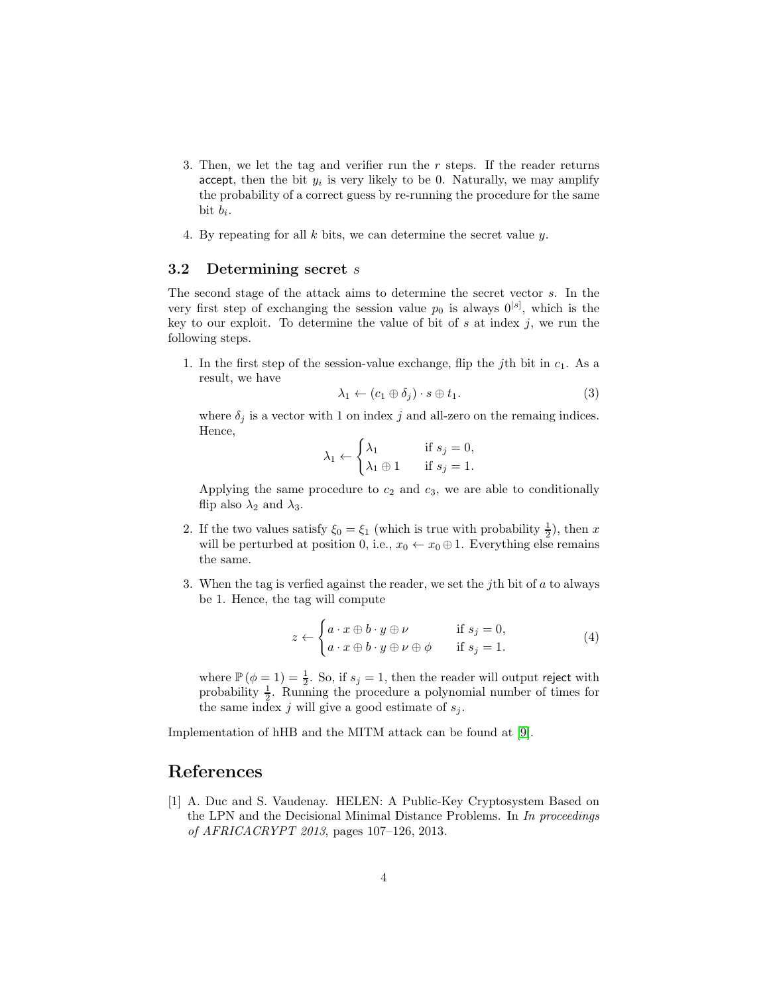- 3. Then, we let the tag and verifier run the  $r$  steps. If the reader returns accept, then the bit  $y_i$  is very likely to be 0. Naturally, we may amplify the probability of a correct guess by re-running the procedure for the same bit  $b_i$ .
- 4. By repeating for all  $k$  bits, we can determine the secret value  $y$ .

#### 3.2 Determining secret s

The second stage of the attack aims to determine the secret vector s. In the very first step of exchanging the session value  $p_0$  is always  $0^{[s]}$ , which is the key to our exploit. To determine the value of bit of  $s$  at index  $j$ , we run the following steps.

1. In the first step of the session-value exchange, flip the jth bit in  $c_1$ . As a result, we have

$$
\lambda_1 \leftarrow (c_1 \oplus \delta_j) \cdot s \oplus t_1. \tag{3}
$$

where  $\delta_j$  is a vector with 1 on index j and all-zero on the remaing indices. Hence,

$$
\lambda_1 \leftarrow \begin{cases} \lambda_1 & \text{if } s_j = 0, \\ \lambda_1 \oplus 1 & \text{if } s_j = 1. \end{cases}
$$

Applying the same procedure to  $c_2$  and  $c_3$ , we are able to conditionally flip also  $\lambda_2$  and  $\lambda_3$ .

- 2. If the two values satisfy  $\xi_0 = \xi_1$  (which is true with probability  $\frac{1}{2}$ ), then x will be perturbed at position 0, i.e.,  $x_0 \leftarrow x_0 \oplus 1$ . Everything else remains the same.
- 3. When the tag is verfied against the reader, we set the jth bit of  $a$  to always be 1. Hence, the tag will compute

$$
z \leftarrow \begin{cases} a \cdot x \oplus b \cdot y \oplus \nu & \text{if } s_j = 0, \\ a \cdot x \oplus b \cdot y \oplus \nu \oplus \phi & \text{if } s_j = 1. \end{cases} \tag{4}
$$

where  $\mathbb{P}(\phi = 1) = \frac{1}{2}$ . So, if  $s_j = 1$ , then the reader will output reject with probability  $\frac{1}{2}$ . Running the procedure a polynomial number of times for the same index j will give a good estimate of  $s_i$ .

Implementation of hHB and the MITM attack can be found at [\[9\]](#page-4-7).

# <span id="page-3-0"></span>References

[1] A. Duc and S. Vaudenay. HELEN: A Public-Key Cryptosystem Based on the LPN and the Decisional Minimal Distance Problems. In In proceedings of AFRICACRYPT 2013, pages 107–126, 2013.